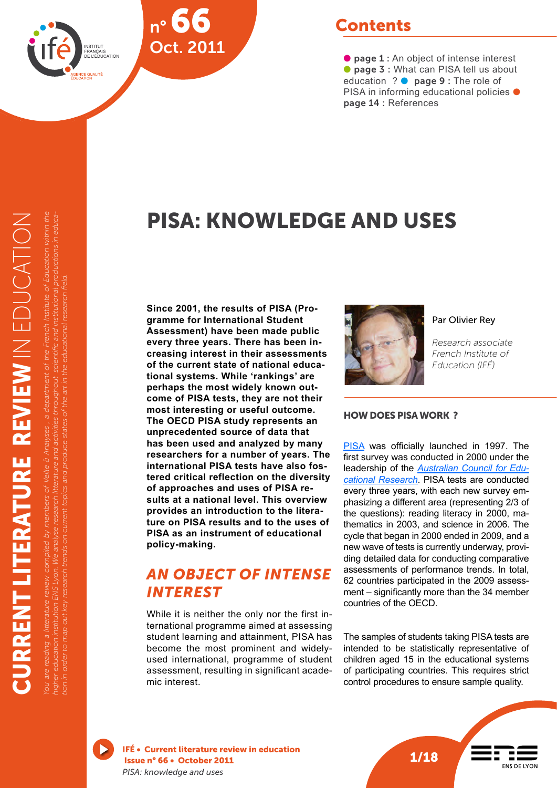



# Contents

● page 1 : An object of intense interest **l** page 3 : What can PISA tell us about education  $? \bullet$  [page 9 :](#page-8-0) The role of PISA in informing educationa[l](#page-13-0) policies  $\bullet$ page 14 : [References](#page-13-0)

# PISA: KNOWLEDGE AND USES

*You are reading a litterature review compiled by members of Veille & Analyses , a department of the French Institute of Education within the higher education institution ENS Lyon. We analyse research litterature and activities throughout scientific and institutional productions in educa-*

*tion in order to map out key research trends on current topics and produce states of the art in the educational research field.*

to map out kev

on in order

topics and produce

**Since 2001, the results of PISA (Programme for International Student Assessment) have been made public every three years. There has been increasing interest in their assessments of the current state of national educational systems. While 'rankings' are perhaps the most widely known outcome of PISA tests, they are not their most interesting or useful outcome. The OECD PISA study represents an unprecedented source of data that has been used and analyzed by many researchers for a number of years. The international PISA tests have also fostered critical reflection on the diversity of approaches and uses of PISA results at a national level. This overview provides an introduction to the literature on PISA results and to the uses of PISA as an instrument of educational policy-making.**

# *An object of intense interest*

While it is neither the only nor the first international programme aimed at assessing student learning and attainment, PISA has become the most prominent and widelyused international, programme of student assessment, resulting in significant academic interest.



#### Par Olivier Rey

*Research associate French Institute of Education (IFÉ)*

### How does PISA work ?

[PISA](http://www.pisa.oecd.org/pages/0,2987,en_32252351_32235731_1_1_1_1_1,00.html) was officially launched in 1997. The first survey was conducted in 2000 under the leadership of the *[Australian Council for Edu](http://www.acer.edu.au)[cational Research](http://www.acer.edu.au)*. PISA tests are conducted every three years, with each new survey emphasizing a different area (representing 2/3 of the questions): reading literacy in 2000, mathematics in 2003, and science in 2006. The cycle that began in 2000 ended in 2009, and a new wave of tests is currently underway, providing detailed data for conducting comparative assessments of performance trends. In total, 62 countries participated in the 2009 assessment – significantly more than the 34 member countries of the OECD.

The samples of students taking PISA tests are intended to be statistically representative of children aged 15 in the educational systems of participating countries. This requires strict control procedures to ensure sample quality.



IFÉ • Current literature review in education<br>Issue n° 66 • October 2011 Issue n° 66 • October 2011 *PISA: knowledge and uses*

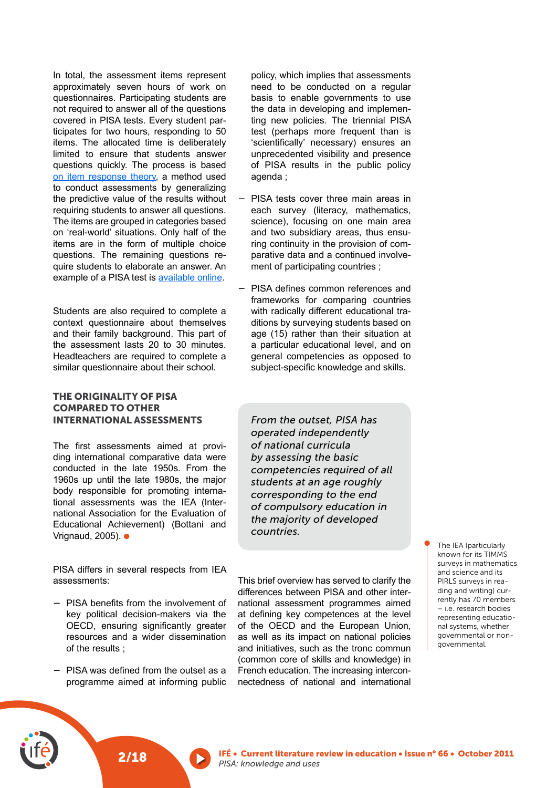In total, the assessment items represent approximately seven hours of work on questionnaires. Participating students are not required to answer all of the questions covered in PISA tests. Every student participates for two hours, responding to 50 items. The allocated time is deliberately limited to ensure that students answer questions quickly. The process is based [on item response theory](http://www.irdp.ch/edumetrie/Tri/methode.htm), a method used to conduct assessments by generalizing the predictive value of the results without requiring students to answer all questions. The items are grouped in categories based on 'real-world' situations. Only half of the items are in the form of multiple choice questions. The remaining questions require students to elaborate an answer. An example of a PISA test is [available online](http://pisa-sq.acer.edu.au/).

Students are also required to complete a context questionnaire about themselves and their family background. This part of the assessment lasts 20 to 30 minutes. Headteachers are required to complete a similar questionnaire about their school.

### The originality of PISA compared to other international assessments

The first assessments aimed at providing international comparative data were conducted in the late 1950s. From the 1960s up until the late 1980s, the major body responsible for promoting international assessments was the IEA (International Association for the Evaluation of Educational Achievement) (Bottani and Vrignaud, 2005).  $\bullet$ 

PISA differs in several respects from IEA assessments:

- − PISA benefits from the involvement of key political decision-makers via the OECD, ensuring significantly greater resources and a wider dissemination of the results ;
- PISA was defined from the outset as a programme aimed at informing public

policy, which implies that assessments need to be conducted on a regular basis to enable governments to use the data in developing and implementing new policies. The triennial PISA test (perhaps more frequent than is 'scientifically' necessary) ensures an unprecedented visibility and presence of PISA results in the public policy agenda ;

- PISA tests cover three main areas in each survey (literacy, mathematics, science), focusing on one main area and two subsidiary areas, thus ensuring continuity in the provision of comparative data and a continued involvement of participating countries ;
- − PISA defines common references and frameworks for comparing countries with radically different educational traditions by surveying students based on age (15) rather than their situation at a particular educational level, and on general competencies as opposed to subject-specific knowledge and skills.

*From the outset, PISA has operated independently of national curricula by assessing the basic competencies required of all students at an age roughly corresponding to the end of compulsory education in the majority of developed countries.*

This brief overview has served to clarify the differences between PISA and other international assessment programmes aimed at defining key competences at the level of the OECD and the European Union, as well as its impact on national policies and initiatives, such as the tronc commun (common core of skills and knowledge) in French education. The increasing interconnectedness of national and international

The IEA (particularly known for its TIMMS surveys in mathematics and science and its PIRLS surveys in reading and writing) currently has 70 members – i.e. research bodies representing educational systems, whether governmental or nongovernmental.

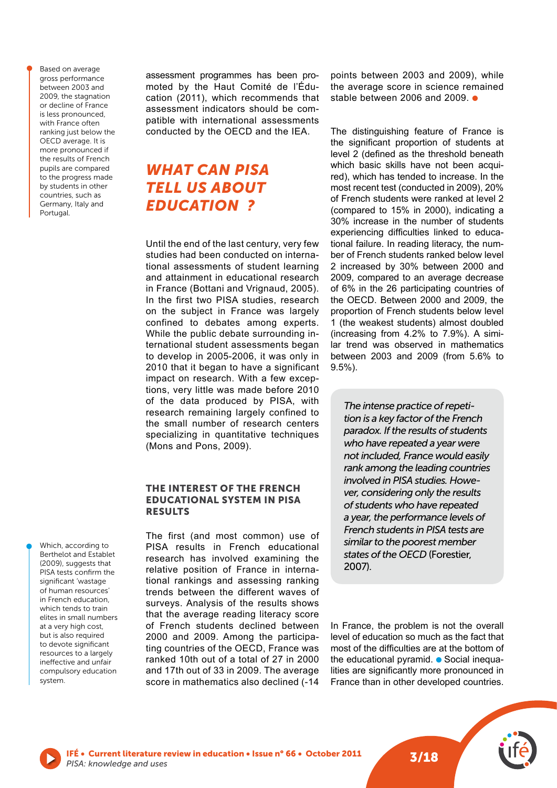Based on average gross performance between 2003 and 2009, the stagnation or decline of France is less pronounced, with France often ranking just below the OECD average. It is more pronounced if the results of French pupils are compared to the progress made by students in other countries, such as Germany, Italy and Portugal.

<span id="page-2-0"></span>l

assessment programmes has been promoted by the Haut Comité de l'Éducation (2011), which recommends that assessment indicators should be compatible with international assessments conducted by the OECD and the IEA.

# *What can PISA tell us about education ?*

Until the end of the last century, very few studies had been conducted on international assessments of student learning and attainment in educational research in France (Bottani and Vrignaud, 2005). In the first two PISA studies, research on the subject in France was largely confined to debates among experts. While the public debate surrounding international student assessments began to develop in 2005-2006, it was only in 2010 that it began to have a significant impact on research. With a few exceptions, very little was made before 2010 of the data produced by PISA, with research remaining largely confined to the small number of research centers specializing in quantitative techniques (Mons and Pons, 2009).

#### The interest of the French educational system in PISA **RESULTS**

The first (and most common) use of PISA results in French educational research has involved examining the relative position of France in international rankings and assessing ranking trends between the different waves of surveys. Analysis of the results shows that the average reading literacy score of French students declined between 2000 and 2009. Among the participating countries of the OECD, France was ranked 10th out of a total of 27 in 2000 and 17th out of 33 in 2009. The average score in mathematics also declined (-14 points between 2003 and 2009), while the average score in science remained stable between 2006 and 2009.  $\bullet$ 

The distinguishing feature of France is the significant proportion of students at level 2 (defined as the threshold beneath which basic skills have not been acquired), which has tended to increase. In the most recent test (conducted in 2009), 20% of French students were ranked at level 2 (compared to 15% in 2000), indicating a 30% increase in the number of students experiencing difficulties linked to educational failure. In reading literacy, the number of French students ranked below level 2 increased by 30% between 2000 and 2009, compared to an average decrease of 6% in the 26 participating countries of the OECD. Between 2000 and 2009, the proportion of French students below level 1 (the weakest students) almost doubled (increasing from 4.2% to 7.9%). A similar trend was observed in mathematics between 2003 and 2009 (from 5.6% to 9.5%).

*The intense practice of repetition is a key factor of the French paradox. If the results of students who have repeated a year were not included, France would easily rank among the leading countries involved in PISA studies. However, considering only the results of students who have repeated a year, the performance levels of French students in PISA tests are similar to the poorest member states of the OECD* (Forestier, 2007).

In France, the problem is not the overall level of education so much as the fact that most of the difficulties are at the bottom of the educational pyramid.  $\bullet$  Social inequalities are significantly more pronounced in France than in other developed countries.



Which, according to Berthelot and Establet (2009), suggests that PISA tests confirm the significant 'wastage of human resources' in French education, which tends to train elites in small numbers at a very high cost, but is also required to devote significant resources to a largely ineffective and unfair compulsory education system.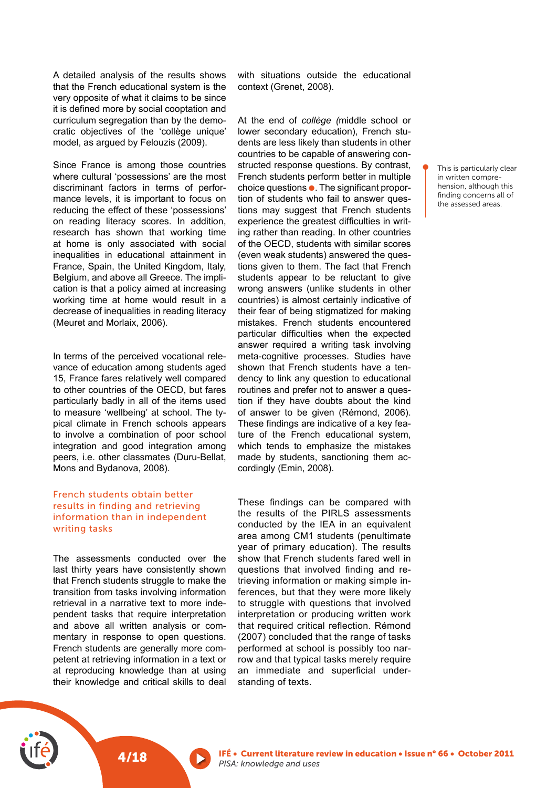A detailed analysis of the results shows that the French educational system is the very opposite of what it claims to be since it is defined more by social cooptation and curriculum segregation than by the democratic objectives of the 'collège unique' model, as argued by Felouzis (2009).

Since France is among those countries where cultural 'possessions' are the most discriminant factors in terms of performance levels, it is important to focus on reducing the effect of these 'possessions' on reading literacy scores. In addition, research has shown that working time at home is only associated with social inequalities in educational attainment in France, Spain, the United Kingdom, Italy, Belgium, and above all Greece. The implication is that a policy aimed at increasing working time at home would result in a decrease of inequalities in reading literacy (Meuret and Morlaix, 2006).

In terms of the perceived vocational relevance of education among students aged 15, France fares relatively well compared to other countries of the OECD, but fares particularly badly in all of the items used to measure 'wellbeing' at school. The typical climate in French schools appears to involve a combination of poor school integration and good integration among peers, i.e. other classmates (Duru-Bellat, Mons and Bydanova, 2008).

#### French students obtain better results in finding and retrieving information than in independent writing tasks

The assessments conducted over the last thirty years have consistently shown that French students struggle to make the transition from tasks involving information retrieval in a narrative text to more independent tasks that require interpretation and above all written analysis or commentary in response to open questions. French students are generally more competent at retrieving information in a text or at reproducing knowledge than at using their knowledge and critical skills to deal

with situations outside the educational context (Grenet, 2008).

At the end of *collège (*middle school or lower secondary education), French students are less likely than students in other countries to be capable of answering constructed response questions. By contrast, French students perform better in multiple choice questions  $\bullet$ . The significant proportion of students who fail to answer questions may suggest that French students experience the greatest difficulties in writing rather than reading. In other countries of the OECD, students with similar scores (even weak students) answered the questions given to them. The fact that French students appear to be reluctant to give wrong answers (unlike students in other countries) is almost certainly indicative of their fear of being stigmatized for making mistakes. French students encountered particular difficulties when the expected answer required a writing task involving meta-cognitive processes. Studies have shown that French students have a tendency to link any question to educational routines and prefer not to answer a question if they have doubts about the kind of answer to be given (Rémond, 2006). These findings are indicative of a key feature of the French educational system, which tends to emphasize the mistakes made by students, sanctioning them accordingly (Emin, 2008).

These findings can be compared with the results of the PIRLS assessments conducted by the IEA in an equivalent area among CM1 students (penultimate year of primary education). The results show that French students fared well in questions that involved finding and retrieving information or making simple inferences, but that they were more likely to struggle with questions that involved interpretation or producing written work that required critical reflection. Rémond (2007) concluded that the range of tasks performed at school is possibly too narrow and that typical tasks merely require an immediate and superficial understanding of texts.

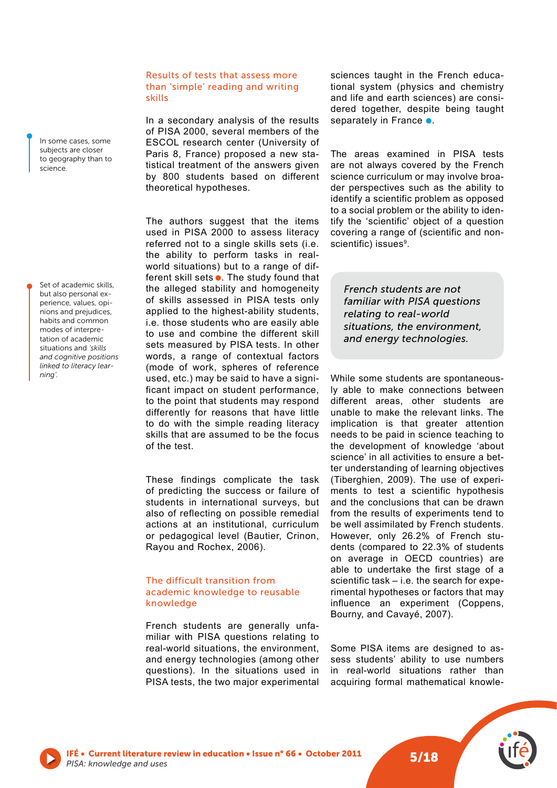In some cases, some subjects are closer to geography than to science.

l

l

Set of academic skills, but also personal experience, values, opinions and prejudices, habits and common modes of interpretation of academic situations and *'skills and cognitive positions linked to literacy learning'.*

Results of tests that assess more than 'simple' reading and writing skills

In a secondary analysis of the results of PISA 2000, several members of the ESCOL research center (University of Paris 8, France) proposed a new statistical treatment of the answers given by 800 students based on different theoretical hypotheses.

The authors suggest that the items used in PISA 2000 to assess literacy referred not to a single skills sets (i.e. the ability to perform tasks in realworld situations) but to a range of different skill sets  $\bullet$ . The study found that the alleged stability and homogeneity of skills assessed in PISA tests only applied to the highest-ability students, i.e. those students who are easily able to use and combine the different skill sets measured by PISA tests. In other words, a range of contextual factors (mode of work, spheres of reference used, etc.) may be said to have a significant impact on student performance, to the point that students may respond differently for reasons that have little to do with the simple reading literacy skills that are assumed to be the focus of the test.

These findings complicate the task of predicting the success or failure of students in international surveys, but also of reflecting on possible remedial actions at an institutional, curriculum or pedagogical level (Bautier, Crinon, Rayou and Rochex, 2006).

#### The difficult transition from academic knowledge to reusable knowledge

French students are generally unfamiliar with PISA questions relating to real-world situations, the environment, and energy technologies (among other questions). In the situations used in PISA tests, the two major experimental sciences taught in the French educational system (physics and chemistry and life and earth sciences) are considered together, despite being taught separately in France  $\bullet$ .

The areas examined in PISA tests are not always covered by the French science curriculum or may involve broader perspectives such as the ability to identify a scientific problem as opposed to a social problem or the ability to identify the 'scientific' object of a question covering a range of (scientific and nonscientific) issues<sup>9</sup>.

*French students are not familiar with PISA questions relating to real-world situations, the environment, and energy technologies.*

While some students are spontaneously able to make connections between different areas, other students are unable to make the relevant links. The implication is that greater attention needs to be paid in science teaching to the development of knowledge 'about science' in all activities to ensure a better understanding of learning objectives (Tiberghien, 2009). The use of experiments to test a scientific hypothesis and the conclusions that can be drawn from the results of experiments tend to be well assimilated by French students. However, only 26.2% of French students (compared to 22.3% of students on average in OECD countries) are able to undertake the first stage of a scientific task – i.e. the search for experimental hypotheses or factors that may influence an experiment (Coppens, Bourny, and Cavayé, 2007).

Some PISA items are designed to assess students' ability to use numbers in real-world situations rather than acquiring formal mathematical knowle-

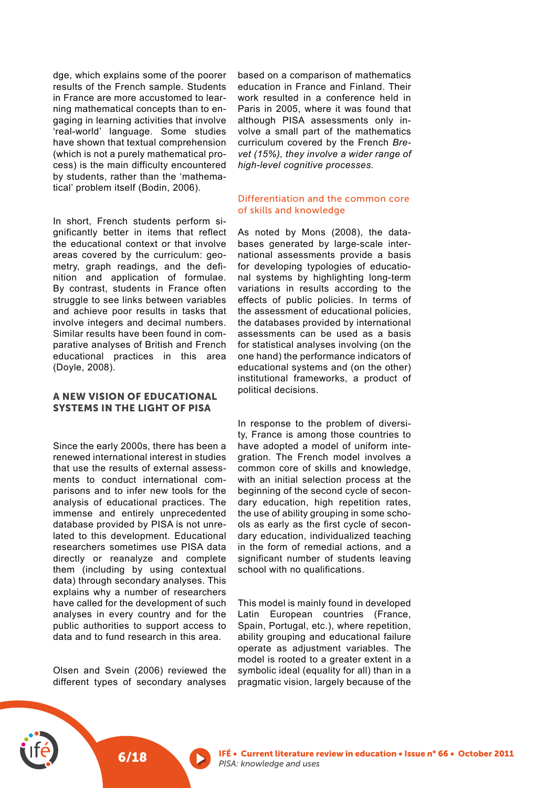dge, which explains some of the poorer results of the French sample. Students in France are more accustomed to learning mathematical concepts than to engaging in learning activities that involve 'real-world' language. Some studies have shown that textual comprehension (which is not a purely mathematical process) is the main difficulty encountered by students, rather than the 'mathematical' problem itself (Bodin, 2006).

In short, French students perform significantly better in items that reflect the educational context or that involve areas covered by the curriculum: geometry, graph readings, and the definition and application of formulae. By contrast, students in France often struggle to see links between variables and achieve poor results in tasks that involve integers and decimal numbers. Similar results have been found in comparative analyses of British and French educational practices in this area (Doyle, 2008).

#### A new vision of educational systems in the light of PISA

Since the early 2000s, there has been a renewed international interest in studies that use the results of external assessments to conduct international comparisons and to infer new tools for the analysis of educational practices. The immense and entirely unprecedented database provided by PISA is not unrelated to this development. Educational researchers sometimes use PISA data directly or reanalyze and complete them (including by using contextual data) through secondary analyses. This explains why a number of researchers have called for the development of such analyses in every country and for the public authorities to support access to data and to fund research in this area.

Olsen and Svein (2006) reviewed the different types of secondary analyses based on a comparison of mathematics education in France and Finland. Their work resulted in a conference held in Paris in 2005, where it was found that although PISA assessments only involve a small part of the mathematics curriculum covered by the French *Brevet (15%), they involve a wider range of high-level cognitive processes.*

#### Differentiation and the common core of skills and knowledge

As noted by Mons (2008), the databases generated by large-scale international assessments provide a basis for developing typologies of educational systems by highlighting long-term variations in results according to the effects of public policies. In terms of the assessment of educational policies, the databases provided by international assessments can be used as a basis for statistical analyses involving (on the one hand) the performance indicators of educational systems and (on the other) institutional frameworks, a product of political decisions.

In response to the problem of diversity, France is among those countries to have adopted a model of uniform integration. The French model involves a common core of skills and knowledge, with an initial selection process at the beginning of the second cycle of secondary education, high repetition rates, the use of ability grouping in some schools as early as the first cycle of secondary education, individualized teaching in the form of remedial actions, and a significant number of students leaving school with no qualifications.

This model is mainly found in developed Latin European countries (France, Spain, Portugal, etc.), where repetition, ability grouping and educational failure operate as adjustment variables. The model is rooted to a greater extent in a symbolic ideal (equality for all) than in a pragmatic vision, largely because of the

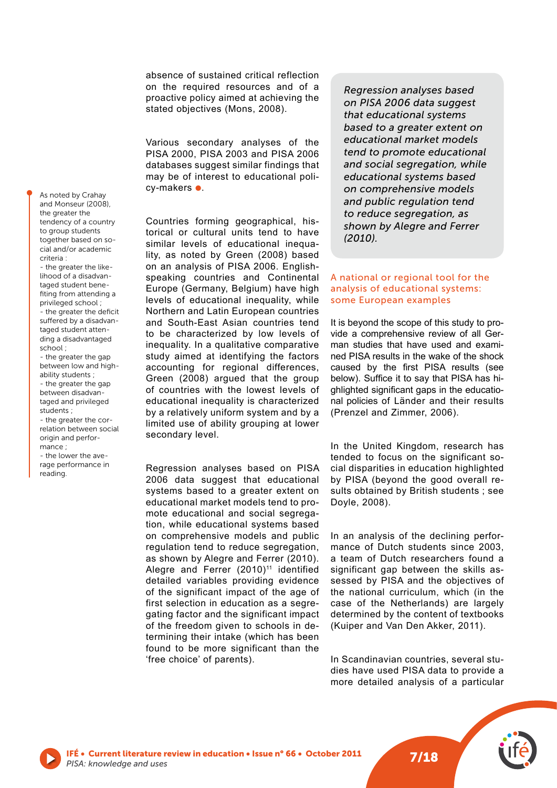absence of sustained critical reflection on the required resources and of a proactive policy aimed at achieving the stated objectives (Mons, 2008).

Various secondary analyses of the PISA 2000, PISA 2003 and PISA 2006 databases suggest similar findings that may be of interest to educational poli $cy$ -makers  $\bullet$ .

Countries forming geographical, historical or cultural units tend to have similar levels of educational inequality, as noted by Green (2008) based on an analysis of PISA 2006. Englishspeaking countries and Continental Europe (Germany, Belgium) have high levels of educational inequality, while Northern and Latin European countries and South-East Asian countries tend to be characterized by low levels of inequality. In a qualitative comparative study aimed at identifying the factors accounting for regional differences, Green (2008) argued that the group of countries with the lowest levels of educational inequality is characterized by a relatively uniform system and by a limited use of ability grouping at lower secondary level.

Regression analyses based on PISA 2006 data suggest that educational systems based to a greater extent on educational market models tend to promote educational and social segregation, while educational systems based on comprehensive models and public regulation tend to reduce segregation, as shown by Alegre and Ferrer (2010). Alegre and Ferrer  $(2010)^{11}$  identified detailed variables providing evidence of the significant impact of the age of first selection in education as a segregating factor and the significant impact of the freedom given to schools in determining their intake (which has been found to be more significant than the 'free choice' of parents).

*Regression analyses based on PISA 2006 data suggest that educational systems based to a greater extent on educational market models tend to promote educational and social segregation, while educational systems based on comprehensive models and public regulation tend to reduce segregation, as shown by Alegre and Ferrer (2010).*

#### A national or regional tool for the analysis of educational systems: some European examples

It is beyond the scope of this study to provide a comprehensive review of all German studies that have used and examined PISA results in the wake of the shock caused by the first PISA results (see below). Suffice it to say that PISA has highlighted significant gaps in the educational policies of Länder and their results (Prenzel and Zimmer, 2006).

In the United Kingdom, research has tended to focus on the significant social disparities in education highlighted by PISA (beyond the good overall results obtained by British students ; see Doyle, 2008).

In an analysis of the declining performance of Dutch students since 2003, a team of Dutch researchers found a significant gap between the skills assessed by PISA and the objectives of the national curriculum, which (in the case of the Netherlands) are largely determined by the content of textbooks (Kuiper and Van Den Akker, 2011).

In Scandinavian countries, several studies have used PISA data to provide a more detailed analysis of a particular



As noted by Crahay and Monseur (2008), the greater the tendency of a country to group students together based on social and/or academic criteria : - the greater the like-

l

lihood of a disadvantaged student benefiting from attending a privileged school ; - the greater the deficit suffered by a disadvantaged student attending a disadvantaged school ;

- the greater the gap between low and highability students ; - the greater the gap between disadvantaged and privileged students ;

- the greater the correlation between social origin and performance :

- the lower the average performance in reading.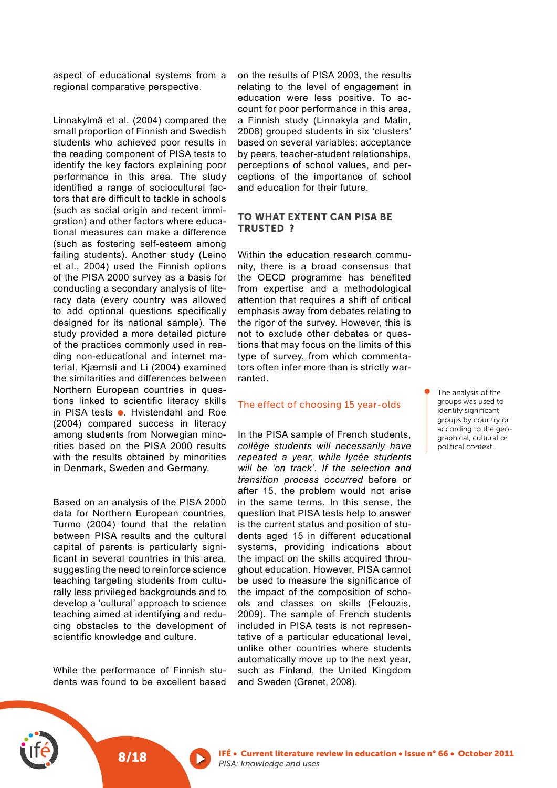aspect of educational systems from a regional comparative perspective.

Linnakylmä et al. (2004) compared the small proportion of Finnish and Swedish students who achieved poor results in the reading component of PISA tests to identify the key factors explaining poor performance in this area. The study identified a range of sociocultural factors that are difficult to tackle in schools (such as social origin and recent immigration) and other factors where educational measures can make a difference (such as fostering self-esteem among failing students). Another study (Leino et al., 2004) used the Finnish options of the PISA 2000 survey as a basis for conducting a secondary analysis of literacy data (every country was allowed to add optional questions specifically designed for its national sample). The study provided a more detailed picture of the practices commonly used in reading non-educational and internet material. Kjærnsli and Li (2004) examined the similarities and differences between Northern European countries in questions linked to scientific literacy skills in PISA tests  $\bullet$ . Hvistendahl and Roe (2004) compared success in literacy among students from Norwegian minorities based on the PISA 2000 results with the results obtained by minorities in Denmark, Sweden and Germany.

Based on an analysis of the PISA 2000 data for Northern European countries, Turmo (2004) found that the relation between PISA results and the cultural capital of parents is particularly significant in several countries in this area, suggesting the need to reinforce science teaching targeting students from culturally less privileged backgrounds and to develop a 'cultural' approach to science teaching aimed at identifying and reducing obstacles to the development of scientific knowledge and culture.

While the performance of Finnish students was found to be excellent based on the results of PISA 2003, the results relating to the level of engagement in education were less positive. To account for poor performance in this area, a Finnish study (Linnakyla and Malin, 2008) grouped students in six 'clusters' based on several variables: acceptance by peers, teacher-student relationships, perceptions of school values, and perceptions of the importance of school and education for their future.

#### To what extent can PISA be TRUSTED ?

Within the education research community, there is a broad consensus that the OECD programme has benefited from expertise and a methodological attention that requires a shift of critical emphasis away from debates relating to the rigor of the survey. However, this is not to exclude other debates or questions that may focus on the limits of this type of survey, from which commentators often infer more than is strictly warranted.

#### The effect of choosing 15 year-olds

In the PISA sample of French students, *collège students will necessarily have repeated a year, while lycée students will be 'on track'. If the selection and transition process occurred* before or after 15, the problem would not arise in the same terms. In this sense, the question that PISA tests help to answer is the current status and position of students aged 15 in different educational systems, providing indications about the impact on the skills acquired throughout education. However, PISA cannot be used to measure the significance of the impact of the composition of schools and classes on skills (Felouzis, 2009). The sample of French students included in PISA tests is not representative of a particular educational level, unlike other countries where students automatically move up to the next year, such as Finland, the United Kingdom and Sweden (Grenet, 2008).

The analysis of the groups was used to identify significant groups by country or according to the geographical, cultural or political context.

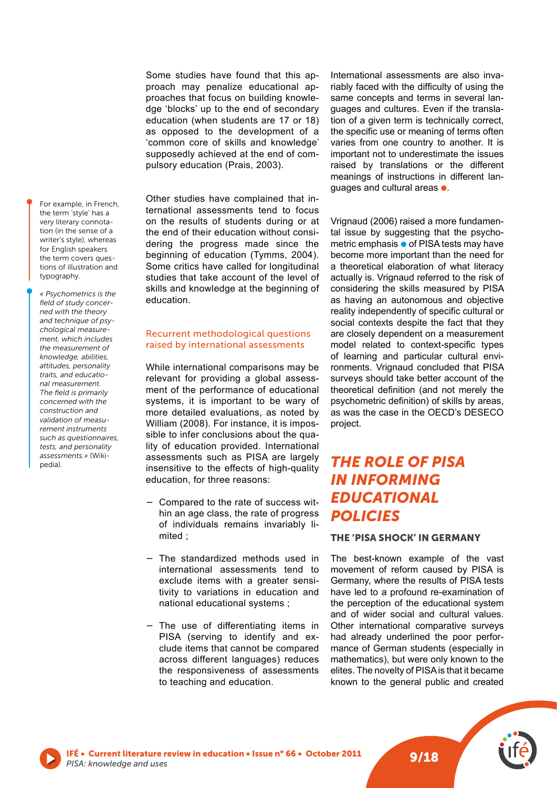<span id="page-8-0"></span>Some studies have found that this approach may penalize educational approaches that focus on building knowledge 'blocks' up to the end of secondary education (when students are 17 or 18) as opposed to the development of a 'common core of skills and knowledge' supposedly achieved at the end of compulsory education (Prais, 2003).

Other studies have complained that international assessments tend to focus on the results of students during or at the end of their education without considering the progress made since the beginning of education (Tymms, 2004). Some critics have called for longitudinal studies that take account of the level of skills and knowledge at the beginning of education.

#### Recurrent methodological questions raised by international assessments

While international comparisons may be relevant for providing a global assessment of the performance of educational systems, it is important to be wary of more detailed evaluations, as noted by William (2008). For instance, it is impossible to infer conclusions about the quality of education provided. International assessments such as PISA are largely insensitive to the effects of high-quality education, for three reasons:

- − Compared to the rate of success within an age class, the rate of progress of individuals remains invariably limited ;
- − The standardized methods used in international assessments tend to exclude items with a greater sensitivity to variations in education and national educational systems ;
- − The use of differentiating items in PISA (serving to identify and exclude items that cannot be compared across different languages) reduces the responsiveness of assessments to teaching and education.

International assessments are also invariably faced with the difficulty of using the same concepts and terms in several languages and cultures. Even if the translation of a given term is technically correct, the specific use or meaning of terms often varies from one country to another. It is important not to underestimate the issues raised by translations or the different meanings of instructions in different languages and cultural areas  $\bullet$ .

Vrignaud (2006) raised a more fundamental issue by suggesting that the psychometric emphasis  $\bullet$  of PISA tests may have become more important than the need for a theoretical elaboration of what literacy actually is. Vrignaud referred to the risk of considering the skills measured by PISA as having an autonomous and objective reality independently of specific cultural or social contexts despite the fact that they are closely dependent on a measurement model related to context-specific types of learning and particular cultural environments. Vrignaud concluded that PISA surveys should take better account of the theoretical definition (and not merely the psychometric definition) of skills by areas, as was the case in the OECD's DESECO project.

# *The role of PISA in informing educational policies*

### The 'PISA shock' in Germany

The best-known example of the vast movement of reform caused by PISA is Germany, where the results of PISA tests have led to a profound re-examination of the perception of the educational system and of wider social and cultural values. Other international comparative surveys had already underlined the poor performance of German students (especially in mathematics), but were only known to the elites. The novelty of PISA is that it became known to the general public and created



*construction and validation of measurement instruments such as questionnaires, tests, and personality assessments.»* (Wikipedia).

For example, in French, the term 'style' has a very literary connotation (in the sense of a writer's style), whereas for English speakers the term covers questions of illustration and

*« Psychometrics is the field of study concerned with the theory and technique of psychological measurement, which includes the measurement of knowledge, abilities, attitudes, personality traits, and educational measurement. The field is primarily concerned with the* 

typography.

l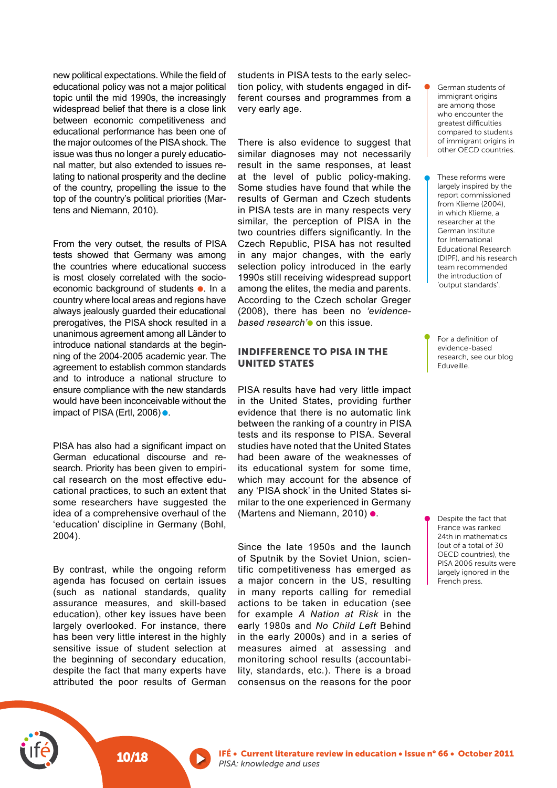new political expectations. While the field of educational policy was not a major political topic until the mid 1990s, the increasingly widespread belief that there is a close link between economic competitiveness and educational performance has been one of the major outcomes of the PISA shock. The issue was thus no longer a purely educational matter, but also extended to issues relating to national prosperity and the decline of the country, propelling the issue to the top of the country's political priorities (Martens and Niemann, 2010).

From the very outset, the results of PISA tests showed that Germany was among the countries where educational success is most closely correlated with the socioeconomic background of students •. In a country where local areas and regions have always jealously guarded their educational prerogatives, the PISA shock resulted in a unanimous agreement among all Länder to introduce national standards at the beginning of the 2004-2005 academic year. The agreement to establish common standards and to introduce a national structure to ensure compliance with the new standards would have been inconceivable without the impact of PISA (Ertl,  $2006$ ) $\bullet$ .

PISA has also had a significant impact on German educational discourse and research. Priority has been given to empirical research on the most effective educational practices, to such an extent that some researchers have suggested the idea of a comprehensive overhaul of the 'education' discipline in Germany (Bohl, 2004).

By contrast, while the ongoing reform agenda has focused on certain issues (such as national standards, quality assurance measures, and skill-based education), other key issues have been largely overlooked. For instance, there has been very little interest in the highly sensitive issue of student selection at the beginning of secondary education, despite the fact that many experts have attributed the poor results of German

students in PISA tests to the early selection policy, with students engaged in different courses and programmes from a very early age.

There is also evidence to suggest that similar diagnoses may not necessarily result in the same responses, at least at the level of public policy-making. Some studies have found that while the results of German and Czech students in PISA tests are in many respects very similar, the perception of PISA in the two countries differs significantly. In the Czech Republic, PISA has not resulted in any major changes, with the early selection policy introduced in the early 1990s still receiving widespread support among the elites, the media and parents. According to the Czech scholar Greger (2008), there has been no *'evidencebased research'* on this issue.

### Indifference to PISA in the **UNITED STATES**

PISA results have had very little impact in the United States, providing further evidence that there is no automatic link between the ranking of a country in PISA tests and its response to PISA. Several studies have noted that the United States had been aware of the weaknesses of its educational system for some time, which may account for the absence of any 'PISA shock' in the United States similar to the one experienced in Germany (Martens and Niemann, 2010)  $\bullet$ .

Since the late 1950s and the launch of Sputnik by the Soviet Union, scientific competitiveness has emerged as a major concern in the US, resulting in many reports calling for remedial actions to be taken in education (see for example *A Nation at Risk* in the early 1980s and *No Child Left* Behind in the early 2000s) and in a series of measures aimed at assessing and monitoring school results (accountability, standards, etc.). There is a broad consensus on the reasons for the poor

German students of immigrant origins are among those who encounter the greatest difficulties compared to students of immigrant origins in other OECD countries.

l

l

l

 $\bullet$ 

These reforms were largely inspired by the report commissioned from Klieme (2004), in which Klieme, a researcher at the German Institute for International Educational Research (DIPF), and his research team recommended the introduction of 'output standards'.

For a definition of evidence-based research, see our blog Eduveille.

Despite the fact that France was ranked 24th in mathematics (out of a total of 30 OECD countries), the PISA 2006 results were largely ignored in the French press.

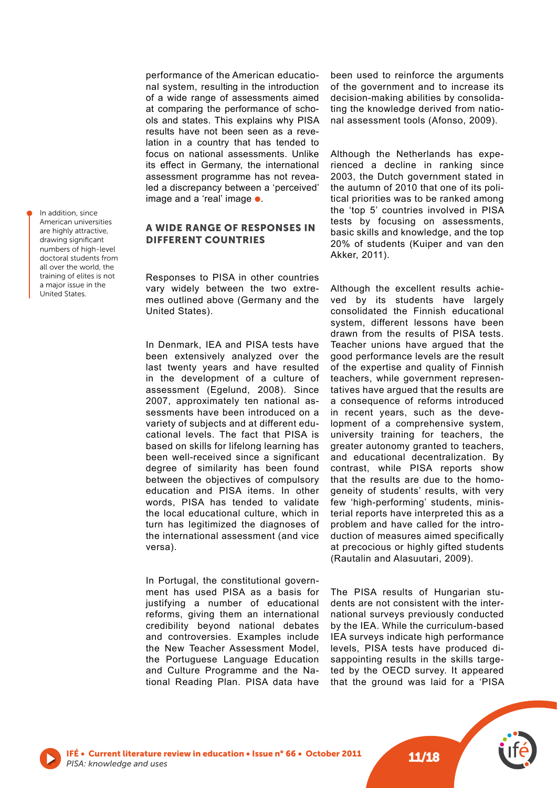performance of the American educational system, resulting in the introduction of a wide range of assessments aimed at comparing the performance of schools and states. This explains why PISA results have not been seen as a revelation in a country that has tended to focus on national assessments. Unlike its effect in Germany, the international assessment programme has not revealed a discrepancy between a 'perceived' image and a 'real' image  $\bullet$ .

### A wide range of responses in different countries

In addition, since American universities are highly attractive, drawing significant numbers of high-level doctoral students from all over the world, the training of elites is not a major issue in the United States.

l

Responses to PISA in other countries vary widely between the two extremes outlined above (Germany and the United States).

In Denmark, IEA and PISA tests have been extensively analyzed over the last twenty years and have resulted in the development of a culture of assessment (Egelund, 2008). Since 2007, approximately ten national assessments have been introduced on a variety of subjects and at different educational levels. The fact that PISA is based on skills for lifelong learning has been well-received since a significant degree of similarity has been found between the objectives of compulsory education and PISA items. In other words, PISA has tended to validate the local educational culture, which in turn has legitimized the diagnoses of the international assessment (and vice versa).

In Portugal, the constitutional government has used PISA as a basis for justifying a number of educational reforms, giving them an international credibility beyond national debates and controversies. Examples include the New Teacher Assessment Model, the Portuguese Language Education and Culture Programme and the National Reading Plan. PISA data have

been used to reinforce the arguments of the government and to increase its decision-making abilities by consolidating the knowledge derived from national assessment tools (Afonso, 2009).

Although the Netherlands has experienced a decline in ranking since 2003, the Dutch government stated in the autumn of 2010 that one of its political priorities was to be ranked among the 'top 5' countries involved in PISA tests by focusing on assessments, basic skills and knowledge, and the top 20% of students (Kuiper and van den Akker, 2011).

Although the excellent results achieved by its students have largely consolidated the Finnish educational system, different lessons have been drawn from the results of PISA tests. Teacher unions have argued that the good performance levels are the result of the expertise and quality of Finnish teachers, while government representatives have argued that the results are a consequence of reforms introduced in recent years, such as the development of a comprehensive system, university training for teachers, the greater autonomy granted to teachers, and educational decentralization. By contrast, while PISA reports show that the results are due to the homogeneity of students' results, with very few 'high-performing' students, ministerial reports have interpreted this as a problem and have called for the introduction of measures aimed specifically at precocious or highly gifted students (Rautalin and Alasuutari, 2009).

The PISA results of Hungarian students are not consistent with the international surveys previously conducted by the IEA. While the curriculum-based IEA surveys indicate high performance levels, PISA tests have produced disappointing results in the skills targeted by the OECD survey. It appeared that the ground was laid for a 'PISA



IFÉ • Current literature review in education • Issue n° 66 • October 2011 *PISA: knowledge and uses*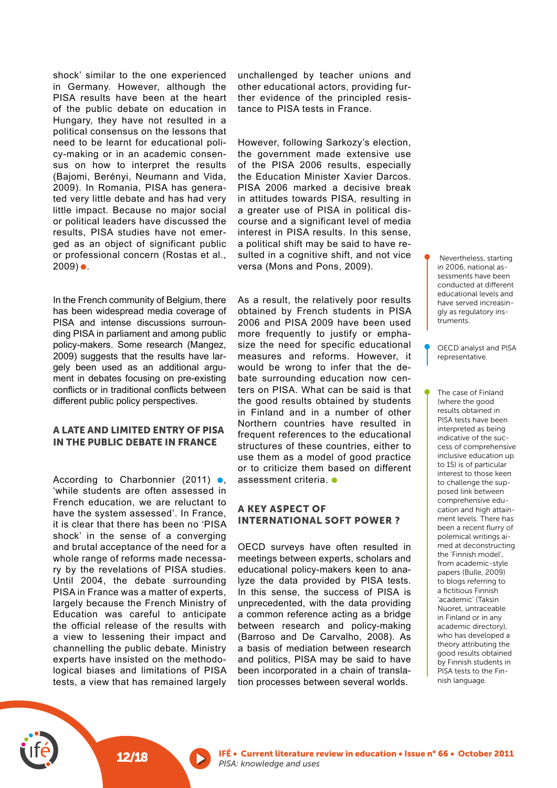shock' similar to the one experienced in Germany. However, although the PISA results have been at the heart of the public debate on education in Hungary, they have not resulted in a political consensus on the lessons that need to be learnt for educational policy-making or in an academic consensus on how to interpret the results (Bajomi, Berényi, Neumann and Vida, 2009). In Romania, PISA has generated very little debate and has had very little impact. Because no major social or political leaders have discussed the results, PISA studies have not emerged as an object of significant public or professional concern (Rostas et al.,  $2009$ ) $\bullet$ .

In the French community of Belgium, there has been widespread media coverage of PISA and intense discussions surrounding PISA in parliament and among public policy-makers. Some research (Mangez, 2009) suggests that the results have largely been used as an additional argument in debates focusing on pre-existing conflicts or in traditional conflicts between different public policy perspectives.

#### A late and limited entry of PISA in the public debate in France

According to Charbonnier (2011)  $\bullet$ . 'while students are often assessed in French education, we are reluctant to have the system assessed'. In France, it is clear that there has been no 'PISA shock' in the sense of a converging and brutal acceptance of the need for a whole range of reforms made necessary by the revelations of PISA studies. Until 2004, the debate surrounding PISA in France was a matter of experts, largely because the French Ministry of Education was careful to anticipate the official release of the results with a view to lessening their impact and channelling the public debate. Ministry experts have insisted on the methodological biases and limitations of PISA tests, a view that has remained largely

unchallenged by teacher unions and other educational actors, providing further evidence of the principled resistance to PISA tests in France.

However, following Sarkozy's election, the government made extensive use of the PISA 2006 results, especially the Education Minister Xavier Darcos. PISA 2006 marked a decisive break in attitudes towards PISA, resulting in a greater use of PISA in political discourse and a significant level of media interest in PISA results. In this sense, a political shift may be said to have resulted in a cognitive shift, and not vice versa (Mons and Pons, 2009).

As a result, the relatively poor results obtained by French students in PISA 2006 and PISA 2009 have been used more frequently to justify or emphasize the need for specific educational measures and reforms. However, it would be wrong to infer that the debate surrounding education now centers on PISA. What can be said is that the good results obtained by students in Finland and in a number of other Northern countries have resulted in frequent references to the educational structures of these countries, either to use them as a model of good practice or to criticize them based on different assessment criteria.  $\bullet$ 

### A key aspect of international soft power ?

OECD surveys have often resulted in meetings between experts, scholars and educational policy-makers keen to analyze the data provided by PISA tests. In this sense, the success of PISA is unprecedented, with the data providing a common reference acting as a bridge between research and policy-making (Barroso and De Carvalho, 2008). As a basis of mediation between research and politics, PISA may be said to have been incorporated in a chain of translation processes between several worlds.

 Nevertheless, starting in 2006, national assessments have been conducted at different educational levels and have served increasingly as regulatory instruments.

l

l

OECD analyst and PISA representative. l

> The case of Finland (where the good results obtained in PISA tests have been interpreted as being indicative of the success of comprehensive inclusive education up to 15) is of particular interest to those keen to challenge the supposed link between comprehensive education and high attainment levels. There has been a recent flurry of polemical writings aimed at deconstructing the 'Finnish model', from academic-style papers (Bulle, 2009) to blogs referring to a fictitious Finnish 'academic' (Taksin Nuoret, untraceable in Finland or in any academic directory), who has developed a theory attributing the good results obtained by Finnish students in PISA tests to the Finnish language.

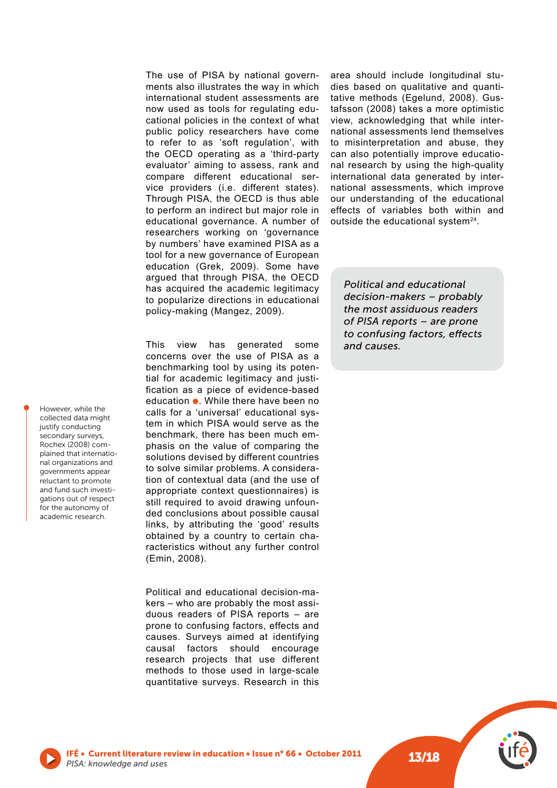The use of PISA by national governments also illustrates the way in which international student assessments are now used as tools for regulating educational policies in the context of what public policy researchers have come to refer to as 'soft regulation', with the OECD operating as a 'third-party evaluator' aiming to assess, rank and compare different educational service providers (i.e. different states). Through PISA, the OECD is thus able to perform an indirect but major role in educational governance. A number of researchers working on 'governance by numbers' have examined PISA as a tool for a new governance of European education (Grek, 2009). Some have argued that through PISA, the OECD has acquired the academic legitimacy to popularize directions in educational policy-making (Mangez, 2009).

This view has generated some concerns over the use of PISA as a benchmarking tool by using its potential for academic legitimacy and justification as a piece of evidence-based education  $\bullet$ . While there have been no calls for a 'universal' educational system in which PISA would serve as the benchmark, there has been much emphasis on the value of comparing the solutions devised by different countries to solve similar problems. A consideration of contextual data (and the use of appropriate context questionnaires) is still required to avoid drawing unfounded conclusions about possible causal links, by attributing the 'good' results obtained by a country to certain characteristics without any further control (Emin, 2008).

Political and educational decision-makers – who are probably the most assiduous readers of PISA reports – are prone to confusing factors, effects and causes. Surveys aimed at identifying causal factors should encourage research projects that use different methods to those used in large-scale quantitative surveys. Research in this

area should include longitudinal studies based on qualitative and quantitative methods (Egelund, 2008). Gustafsson (2008) takes a more optimistic view, acknowledging that while international assessments lend themselves to misinterpretation and abuse, they can also potentially improve educational research by using the high-quality international data generated by international assessments, which improve our understanding of the educational effects of variables both within and outside the educational system<sup>24</sup>.

*Political and educational decision-makers – probably the most assiduous readers of PISA reports – are prone to confusing factors, effects and causes.*

collected data might justify conducting secondary surveys, Rochex (2008) complained that international organizations and governments appear reluctant to promote and fund such investigations out of respect for the autonomy of academic research.

However, while the

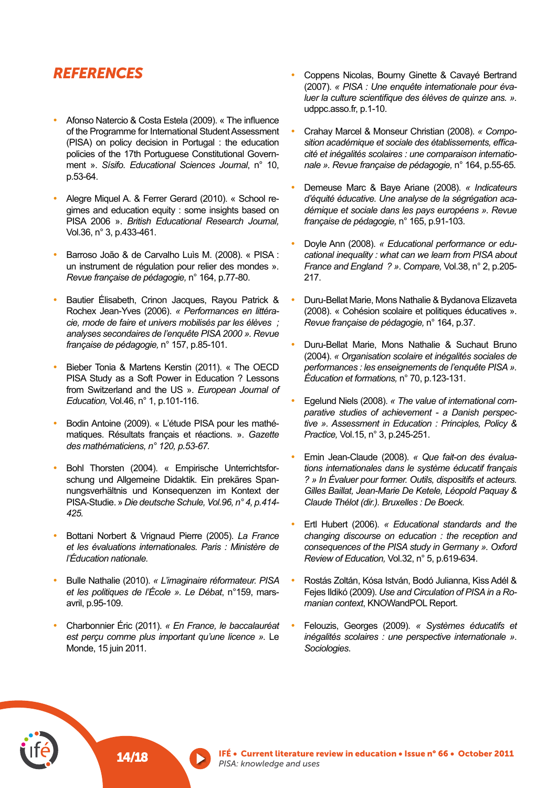# <span id="page-13-0"></span>*References*

- Afonso Natercio & Costa Estela (2009). « The influence of the Programme for International Student Assessment (PISA) on policy decision in Portugal : the education policies of the 17th Portuguese Constitutional Government ». *Sísifo. Educational Sciences Journal*, n° 10, p.53-64.
- Alegre Miquel A. & Ferrer Gerard (2010). « School regimes and education equity : some insights based on PISA 2006 ». *British Educational Research Journal,*  Vol.36, n° 3, p.433-461.
- Barroso João & de Carvalho Luìs M. (2008). « PISA : un instrument de régulation pour relier des mondes ». *Revue française de pédagogie,* n° 164, p.77-80.
- Bautier Élisabeth, Crinon Jacques, Rayou Patrick & Rochex Jean-Yves (2006). *« Performances en littéracie, mode de faire et univers mobilisés par les élèves ; analyses secondaires de l'enquête PISA 2000 ». Revue française de pédagogie,* n° 157, p.85-101.
- Bieber Tonia & Martens Kerstin (2011). « The OECD PISA Study as a Soft Power in Education ? Lessons from Switzerland and the US ». *European Journal of Education,* Vol.46, n° 1, p.101-116.
- Bodin Antoine (2009). « L'étude PISA pour les mathématiques. Résultats français et réactions. ». *Gazette des mathématiciens, n° 120, p.53-67.*
- Bohl Thorsten (2004). « Empirische Unterrichtsforschung und Allgemeine Didaktik. Ein prekäres Spannungsverhältnis und Konsequenzen im Kontext der PISA-Studie. » *Die deutsche Schule, Vol.96, n° 4, p.414- 425.*
- Bottani Norbert & Vrignaud Pierre (2005). La France *et les évaluations internationales. Paris : Ministère de l'Éducation nationale.*
- Bulle Nathalie (2010). « L'imaginaire réformateur. PISA *et les politiques de l'École ». Le Débat*, n°159, marsavril, p.95-109.
- • Charbonnier Éric (2011). *« En France, le baccalauréat est perçu comme plus important qu'une licence ».* Le Monde, 15 juin 2011.
- Coppens Nicolas, Bourny Ginette & Cavayé Bertrand (2007). *« PISA : Une enquête internationale pour évaluer la culture scientifique des élèves de quinze ans. ».*  udppc.asso.fr, p.1-10.
- Crahay Marcel & Monseur Christian (2008). « Compo*sition académique et sociale des établissements, efficacité et inégalités scolaires : une comparaison internationale ». Revue française de pédagogie,* n° 164, p.55-65*.*
- • Demeuse Marc & Baye Ariane (2008). *« Indicateurs d'équité éducative. Une analyse de la ségrégation académique et sociale dans les pays européens ». Revue française de pédagogie,* n° 165, p.91-103.
- Doyle Ann (2008). « Educational performance or edu*cational inequality : what can we learn from PISA about France and England ? »*. *Compare,* Vol.38, n° 2, p.205- 217.
- Duru-Bellat Marie, Mons Nathalie & Bydanova Elizaveta (2008). « Cohésion scolaire et politiques éducatives ». *Revue française de pédagogie,* n° 164, p.37.
- Duru-Bellat Marie, Mons Nathalie & Suchaut Bruno (2004). *« Organisation scolaire et inégalités sociales de performances : les enseignements de l'enquête PISA ». Éducation et formations,* n° 70, p.123-131.
- Egelund Niels (2008). « The value of international com*parative studies of achievement - a Danish perspective ». Assessment in Education : Principles, Policy & Practice,* Vol.15, n° 3, p.245-251.
- Emin Jean-Claude (2008). « Que fait-on des évalua*tions internationales dans le système éducatif français ? » In Évaluer pour former. Outils, dispositifs et acteurs. Gilles Baillat, Jean-Marie De Ketele, Léopold Paquay & Claude Thélot (dir.). Bruxelles : De Boeck.*
- Ertl Hubert (2006). *« Educational standards and the changing discourse on education : the reception and consequences of the PISA study in Germany ». Oxford Review of Education,* Vol.32, n° 5, p.619-634.
- Rostás Zoltán, Kósa István, Bodó Julianna, Kiss Adél & Fejes Ildikó (2009). *Use and Circulation of PISA in a Romanian context*, KNOWandPOL Report.
- • Felouzis, Georges (2009). *« Systèmes éducatifs et inégalités scolaires : une perspective internationale »*. *Sociologies*.

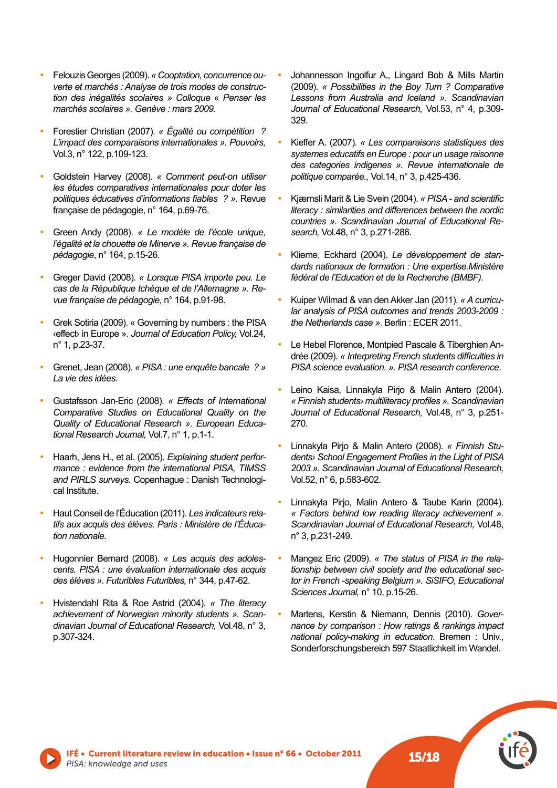- Felouzis Georges (2009). « Cooptation, concurrence ou*verte et marchés : Analyse de trois modes de construction des inégalités scolaires » Colloque* « *Penser les marchés scolaires ». Genève : mars 2009.*
- • Forestier Christian (2007). *« Égalité ou compétition ? L'impact des comparaisons internationales ». Pouvoirs,*  Vol.3, n° 122, p.109-123.
- Goldstein Harvey (2008). « Comment peut-on utiliser *les études comparatives internationales pour doter les politiques éducatives d'informations fiables ? ».* Revue française de pédagogie, n° 164, p.69-76.
- Green Andy (2008). « Le modèle de l'école unique, *l'égalité et la chouette de Minerve ». Revue française de pédagogie*, n° 164, p.15-26.
- Greger David (2008). « Lorsque PISA importe peu. Le *cas de la République tchèque et de l'Allemagne ». Revue française de pédagogie,* n° 164, p.91-98.
- Grek Sotiria (2009). « Governing by numbers : the PISA ‹effect› in Europe ». *Journal of Education Policy,* Vol.24, n° 1, p.23-37.
- • Grenet, Jean (2008). *« PISA: une enquête bancale ? » La vie des idées*.
- Gustafsson Jan-Eric (2008). « Effects of International *Comparative Studies on Educational Quality on the Quality of Educational Research »*. *European Educational Research Journal,* Vol.7, n° 1, p.1-1.
- Haarh, Jens H., et al. (2005). *Explaining student performance : evidence from the international PISA, TIMSS and PIRLS surveys.* Copenhague : Danish Technological Institute.
- Haut Conseil de l'Éducation (2011). Les indicateurs rela*tifs aux acquis des élèves. Paris : Ministère de l'Éducation nationale.*
- Hugonnier Bernard (2008). « Les acquis des adoles*cents. PISA : une évaluation internationale des acquis des élèves ». Futuribles Futuribles,* n° 344, p.47-62.
- • Hvistendahl Rita & Roe Astrid (2004). *« The literacy achievement of Norwegian minority students ». Scandinavian Journal of Educational Research,* Vol.48, n° 3, p.307-324.
- Johannesson Ingolfur A., Lingard Bob & Mills Martin (2009). *« Possibilities in the Boy Turn ? Comparative Lessons from Australia and Iceland ». Scandinavian Journal of Educational Research,* Vol.53, n° 4, p.309- 329.
- Kieffer A. (2007). « Les comparaisons statistiques des *systemes educatifs en Europe : pour un usage raisonne des categories indigenes ». Revue internationale de politique comparée.,* Vol.14, n° 3, p.425-436.
- • Kjærnsli Marit & Lie Svein (2004). *« PISA and scientific literacy : similarities and differences between the nordic countries ». Scandinavian Journal of Educational Research,* Vol.48, n° 3, p.271-286.
- Klieme, Eckhard (2004). Le développement de stan*dards nationaux de formation : Une expertise.Ministère fédéral de l'Education et de la Recherche (BMBF).*
- Kuiper Wilmad & van den Akker Jan (2011). « A curricu*lar analysis of PISA outcomes and trends 2003-2009 : the Netherlands case »*. Berlin : ECER 2011.
- Le Hebel Florence, Montpied Pascale & Tiberghien Andrée (2009). *« Interpreting French students difficulties in PISA science evaluation. ». PISA research conference*.
- Leino Kaisa, Linnakyla Pirjo & Malin Antero (2004). *« Finnish students› multiliteracy profiles ». Scandinavian Journal of Educational Research,* Vol.48, n° 3, p.251- 270.
- Linnakyla Pirio & Malin Antero (2008). « Finnish Stu*dents› School Engagement Profiles in the Light of PISA 2003 ». Scandinavian Journal of Educational Research,*  Vol.52, n° 6, p.583-602.
- Linnakyla Pirjo, Malin Antero & Taube Karin (2004). *« Factors behind low reading literacy achievement ». Scandinavian Journal of Educational Research,* Vol.48, n° 3, p.231-249.
- Mangez Eric (2009). « The status of PISA in the rela*tionship between civil society and the educational sector in French -speaking Belgium ». SiSIFO, Educational Sciences Journal,* n° 10, p.15-26.
- Martens, Kerstin & Niemann, Dennis (2010). Gover*nance by comparison : How ratings & rankings impact national policy-making in education.* Bremen : Univ., Sonderforschungsbereich 597 Staatlichkeit im Wandel.



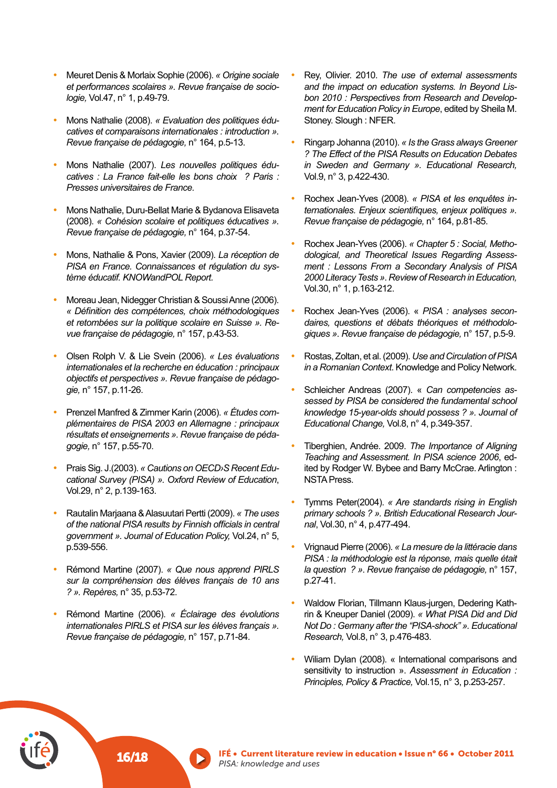- • Meuret Denis & Morlaix Sophie (2006). *« Origine sociale et performances scolaires ». Revue française de sociologie,* Vol.47, n° 1, p.49-79.
- Mons Nathalie (2008). « Evaluation des politiques édu*catives et comparaisons internationales : introduction ». Revue française de pédagogie,* n° 164, p.5-13.
- Mons Nathalie (2007). Les nouvelles politiques édu*catives : La France fait-elle les bons choix ? Paris : Presses universitaires de France.*
- Mons Nathalie, Duru-Bellat Marie & Bydanova Elisaveta (2008). *« Cohésion scolaire et politiques éducatives ». Revue française de pédagogie,* n° 164, p.37-54.
- Mons, Nathalie & Pons, Xavier (2009). La réception de *PISA en France. Connaissances et régulation du système éducatif. KNOWandPOL Report.*
- Moreau Jean, Nidegger Christian & Soussi Anne (2006). *« Définition des compétences, choix méthodologiques et retombées sur la politique scolaire en Suisse ». Revue française de pédagogie,* n° 157, p.43-53.
- • Olsen Rolph V. & Lie Svein (2006). *« Les évaluations internationales et la recherche en éducation : principaux objectifs et perspectives ». Revue française de pédagogie,* n° 157, p.11-26.
- Prenzel Manfred & Zimmer Karin (2006). « Études com*plémentaires de PISA 2003 en Allemagne : principaux résultats et enseignements ». Revue française de pédagogie,* n° 157, p.55-70.
- Prais Sig. J.(2003). « Cautions on OECD<sup>></sup>S Recent Edu*cational Survey (PISA) ». Oxford Review of Education*, Vol.29, n° 2, p.139-163.
- • Rautalin Marjaana & Alasuutari Pertti (2009). *« The uses of the national PISA results by Finnish officials in central government ». Journal of Education Policy,* Vol.24, n° 5, p.539-556.
- Rémond Martine (2007). « Que nous apprend PIRLS *sur la compréhension des élèves français de 10 ans ? ». Repères,* n° 35, p.53-72.
- • Rémond Martine (2006). *« Éclairage des évolutions internationales PIRLS et PISA sur les élèves français ». Revue française de pédagogie,* n° 157, p.71-84.
- Rey, Olivier. 2010. *The use of external assessments and the impact on education systems. In Beyond Lisbon 2010 : Perspectives from Research and Development for Education Policy in Europe*, edited by Sheila M. Stoney. Slough : NFER.
- • Ringarp Johanna (2010). *« Is the Grass always Greener ? The Effect of the PISA Results on Education Debates in Sweden and Germany ». Educational Research,*  Vol.9, n° 3, p.422-430.
- Rochex Jean-Yves (2008). « PISA et les enquêtes in*ternationales. Enjeux scientifiques, enjeux politiques ». Revue française de pédagogie,* n° 164, p.81-85.
- Rochex Jean-Yves (2006). « Chapter 5 : Social, Metho*dological, and Theoretical Issues Regarding Assessment : Lessons From a Secondary Analysis of PISA 2000 Literacy Tests »*. *Review of Research in Education,*  Vol.30, n° 1, p.163-212.
- Rochex Jean-Yves (2006). « PISA : analyses secon*daires, questions et débats théoriques et méthodologiques »*. *Revue française de pédagogie,* n° 157, p.5-9.
- Rostas, Zoltan, et al. (2009). *Use and Circulation of PISA in a Romanian Context*. Knowledge and Policy Network.
- Schleicher Andreas (2007). « Can competencies as*sessed by PISA be considered the fundamental school knowledge 15-year-olds should possess ? ». Journal of Educational Change,* Vol.8, n° 4, p.349-357.
- Tiberghien, Andrée. 2009. *The Importance of Aligning Teaching and Assessment. In PISA science 2006*, edited by Rodger W. Bybee and Barry McCrae. Arlington : NSTA Press.
- Tymms Peter(2004). « Are standards rising in English *primary schools ? ». British Educational Research Journal*, Vol.30, n° 4, p.477-494.
- • Vrignaud Pierre (2006). *« La mesure de la littéracie dans PISA : la méthodologie est la réponse, mais quelle était la question ? »*. *Revue française de pédagogie,* n° 157, p.27-41.
- Waldow Florian, Tillmann Klaus-jurgen, Dedering Kathrin & Kneuper Daniel (2009). *« What PISA Did and Did Not Do : Germany after the "PISA-shock" ». Educational Research,* Vol.8, n° 3, p.476-483.
- Wiliam Dylan (2008). « International comparisons and sensitivity to instruction ». *Assessment in Education : Principles, Policy & Practice,* Vol.15, n° 3, p.253-257.

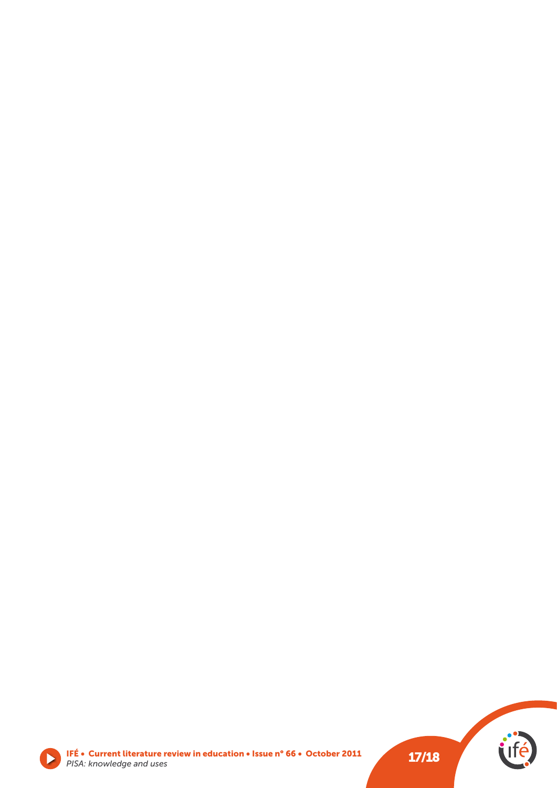